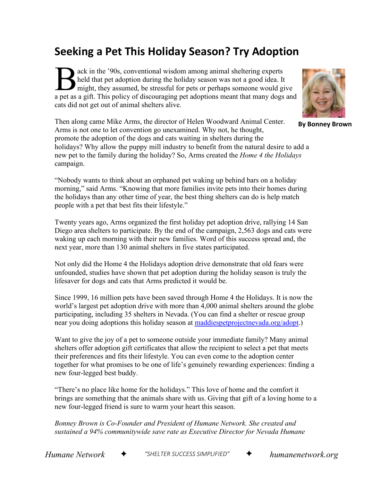## **Seeking a Pet This Holiday Season? Try Adoption**

ack in the '90s, conventional wisdom among animal sheltering experts held that pet adoption during the holiday season was not a good idea. It might, they assumed, be stressful for pets or perhaps someone would give a pet as a gift. This policy of discouraging pet adoptions meant that many dogs and a geodicies. It are as a gift. This policy of discouraging pet adoptions meant that many dogs and cats did not get out of animal shelters alive.



**By Bonney Brown**

Then along came Mike Arms, the director of Helen Woodward Animal Center. Arms is not one to let convention go unexamined. Why not, he thought, promote the adoption of the dogs and cats waiting in shelters during the holidays? Why allow the puppy mill industry to benefit from the natural desire to add a new pet to the family during the holiday? So, Arms created the *Home 4 the Holidays* campaign.

"Nobody wants to think about an orphaned pet waking up behind bars on a holiday morning," said Arms. "Knowing that more families invite pets into their homes during the holidays than any other time of year, the best thing shelters can do is help match people with a pet that best fits their lifestyle."

Twenty years ago, Arms organized the first holiday pet adoption drive, rallying 14 San Diego area shelters to participate. By the end of the campaign, 2,563 dogs and cats were waking up each morning with their new families. Word of this success spread and, the next year, more than 130 animal shelters in five states participated.

Not only did the Home 4 the Holidays adoption drive demonstrate that old fears were unfounded, studies have shown that pet adoption during the holiday season is truly the lifesaver for dogs and cats that Arms predicted it would be.

Since 1999, 16 million pets have been saved through Home 4 the Holidays. It is now the world's largest pet adoption drive with more than 4,000 animal shelters around the globe participating, including 35 shelters in Nevada. (You can find a shelter or rescue group near you doing adoptions this holiday season at [maddiespetprojectnevada.org/adopt.](https://www.maddiespetprojectnevada.org/adopt/))

Want to give the joy of a pet to someone outside your immediate family? Many animal shelters offer adoption gift certificates that allow the recipient to select a pet that meets their preferences and fits their lifestyle. You can even come to the adoption center together for what promises to be one of life's genuinely rewarding experiences: finding a new four-legged best buddy.

"There's no place like home for the holidays." This love of home and the comfort it brings are something that the animals share with us. Giving that gift of a loving home to a new four-legged friend is sure to warm your heart this season.

*Bonney Brown is Co-Founder and President of Humane Network. She created and sustained a 94% communitywide save rate as Executive Director for Nevada Humane*